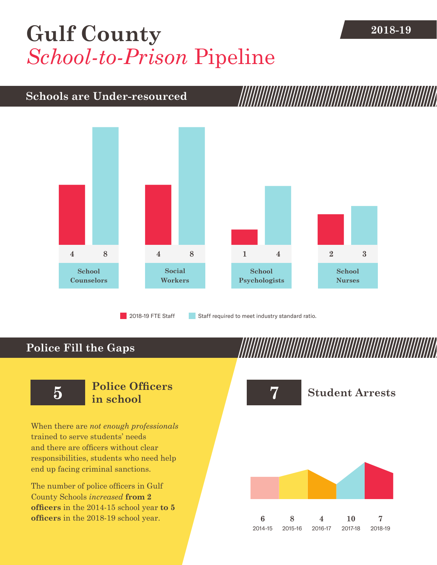## [Gulf County](DBF_County) 2018-19 *School-to-Prison* Pipeline

## **Schools are Under-resourced**



### **Police Fill the Gaps**

When there are *not enough professionals* trained to serve students' needs and there are officers without clear responsibilities, students who need help end up facing criminal sanctions.

The number of police officers in [Gulf](DBF_County)  [County](DBF_County) Schools *increased* **from [2](DBF_PO1415) officers** in the 2014-15 school year **to [5](DBF_PO) officers** in the 2018-19 school year.